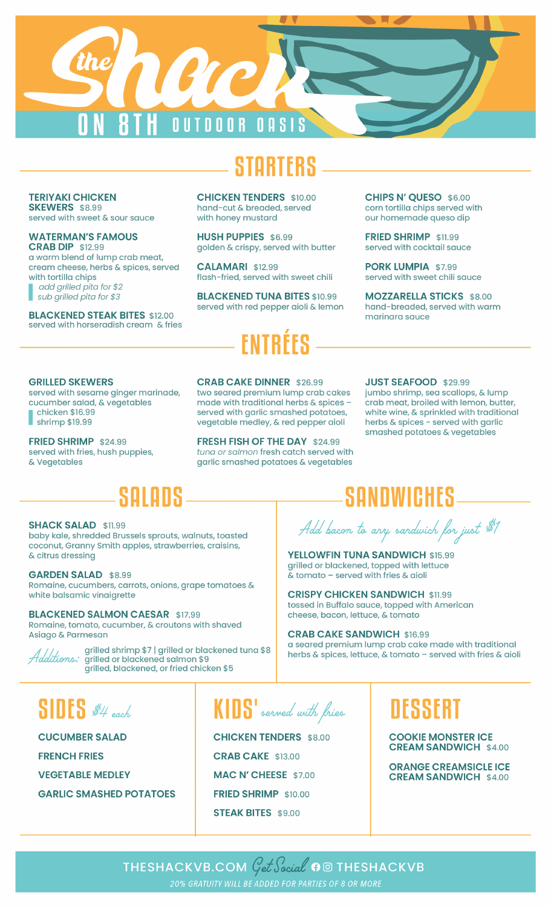

**TERIYAKI CHICKEN SKEWERS** \$8.99 served with sweet & sour sauce

**WATERMAN'S FAMOUS CRAB DIP \$12.99** 

a warm blend of lump crab meat, cream cheese, herbs & spices, served with tortilla chips add grilled pita for \$2 sub grilled pita for \$3

**BLACKENED STEAK BITES \$12.00** served with horseradish cream & fries **CHICKEN TENDERS \$10.00** hand-cut & breaded, served with honey mustard

**HUSH PUPPIES \$6.99** golden & crispy, served with butter

**CALAMARI \$12.99** flash-fried, served with sweet chili

**BLACKENED TUNA BITES \$10.99** served with red pepper aioli & lemon

**CHIPS N' OUESO \$6.00** corn tortilla chips served with our homemade queso dip

FRIED SHRIMP \$11.99 served with cocktail squce

PORK LUMPIA \$7.99 served with sweet chili sauce

**MOZZARELLA STICKS \$8.00** hand-breaded, served with warm marinara sauce

### **GRILLED SKEWERS**

served with sesame ginger marinade, cucumber salad, & vegetables chicken \$16.99

shrimp \$19.99

FRIED SHRIMP \$24.99 served with fries, hush puppies, & Vegetables

**CRAB CAKE DINNER \$26.99** 

two seared premium lump crab cakes made with traditional herbs & spices served with garlic smashed potatoes, vegetable medley, & red pepper aioli

FRESH FISH OF THE DAY \$24.99 tuna or salmon fresh catch served with garlic smashed potatoes & vegetables

### **JUST SEAFOOD \$29.99**

jumbo shrimp, sea scallops, & lump crab meat, broiled with lemon, butter, white wine, & sprinkled with traditional herbs & spices - served with garlic smashed potatoes & vegetables

# SOFORS

### **SHACK SALAD \$11.99**

baby kale, shredded Brussels sprouts, walnuts, toasted coconut, Granny Smith apples, strawberries, craisins, & citrus dressing

### **GARDEN SALAD \$8.99**

Romaine, cucumbers, carrots, onions, grape tomatoes & white balsamic vinaigrette

### **BLACKENED SALMON CAESAR \$17.99**

Romaine, tomato, cucumber, & croutons with shaved Asiago & Parmesan



grilled shrimp \$7 | grilled or blackened tuna \$8 Additions: grilled or blackened salmon \$9 grilled, blackened, or fried chicken \$5

**SANDWICHES** 

Add bacon to any sandwich for just \$1

YELLOWFIN TUNA SANDWICH \$15.99 grilled or blackened, topped with lettuce  $\tilde{\textbf{x}}$  tomato – served with fries & aioli

**CRISPY CHICKEN SANDWICH \$11.99** tossed in Buffalo sauce, topped with American cheese, bacon, lettuce, & tomato

**CRAB CAKE SANDWICH \$16.99** a seared premium lump crab cake made with traditional herbs & spices, lettuce, & tomato - served with fries & aioli

## $SIDES$  #4 each

**CUCUMBER SALAD FRENCH FRIES VEGETABLE MEDLEY GARLIC SMASHED POTATOES** 

KIDS' served with fries

**CHICKEN TENDERS \$8.00 CRAB CAKE \$13.00 MAC N' CHEESE \$7.00** FRIED SHRIMP \$10.00 **STEAK BITES \$9.00** 

## DESSERT

**COOKIE MONSTER ICE CREAM SANDWICH \$4.00** 

**ORANGE CREAMSICLE ICE CREAM SANDWICH \$4.00** 

THESHACKVB.COM  $\mathcal{G}et \mathcal{S}ecial$  o  $\Box$  Theshackvb 20% GRATUITY WILL BE ADDED FOR PARTIES OF 8 OR MORE